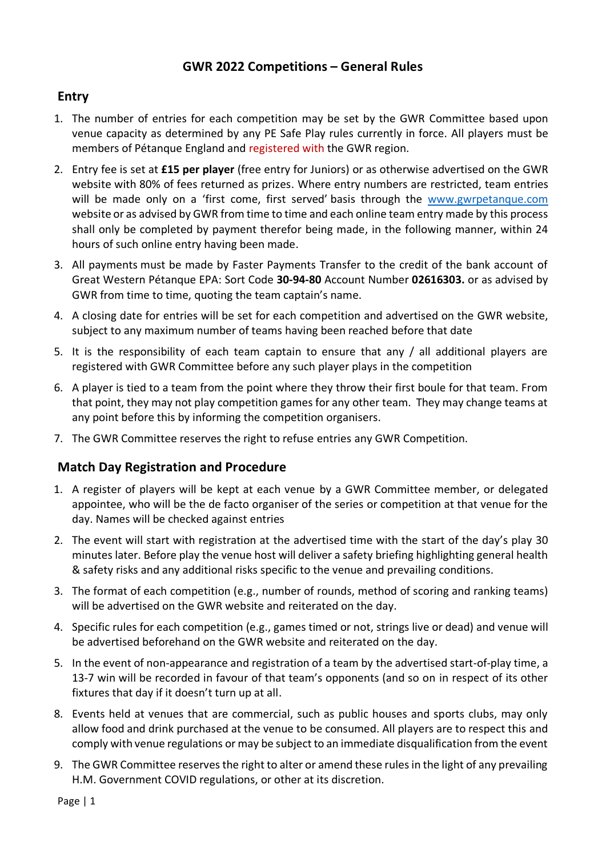## **GWR 2022 Competitions – General Rules**

### **Entry**

- 1. The number of entries for each competition may be set by the GWR Committee based upon venue capacity as determined by any PE Safe Play rules currently in force. All players must be members of Pétanque England and registered with the GWR region.
- 2. Entry fee is set at **£15 per player** (free entry for Juniors) or as otherwise advertised on the GWR website with 80% of fees returned as prizes. Where entry numbers are restricted, team entries will be made only on a 'first come, first served' basis through the [www.gwrpetanque.com](http://www.gwrpetanque.com/) website or as advised by GWR from time to time and each online team entry made by this process shall only be completed by payment therefor being made, in the following manner, within 24 hours of such online entry having been made.
- 3. All payments must be made by Faster Payments Transfer to the credit of the bank account of Great Western Pétanque EPA: Sort Code **30-94-80** Account Number **02616303.** or as advised by GWR from time to time, quoting the team captain's name.
- 4. A closing date for entries will be set for each competition and advertised on the GWR website, subject to any maximum number of teams having been reached before that date
- 5. It is the responsibility of each team captain to ensure that any / all additional players are registered with GWR Committee before any such player plays in the competition
- 6. A player is tied to a team from the point where they throw their first boule for that team. From that point, they may not play competition games for any other team. They may change teams at any point before this by informing the competition organisers.
- 7. The GWR Committee reserves the right to refuse entries any GWR Competition.

#### **Match Day Registration and Procedure**

- 1. A register of players will be kept at each venue by a GWR Committee member, or delegated appointee, who will be the de facto organiser of the series or competition at that venue for the day. Names will be checked against entries
- 2. The event will start with registration at the advertised time with the start of the day's play 30 minutes later. Before play the venue host will deliver a safety briefing highlighting general health & safety risks and any additional risks specific to the venue and prevailing conditions.
- 3. The format of each competition (e.g., number of rounds, method of scoring and ranking teams) will be advertised on the GWR website and reiterated on the day.
- 4. Specific rules for each competition (e.g., games timed or not, strings live or dead) and venue will be advertised beforehand on the GWR website and reiterated on the day.
- 5. In the event of non-appearance and registration of a team by the advertised start-of-play time, a 13-7 win will be recorded in favour of that team's opponents (and so on in respect of its other fixtures that day if it doesn't turn up at all.
- 8. Events held at venues that are commercial, such as public houses and sports clubs, may only allow food and drink purchased at the venue to be consumed. All players are to respect this and comply with venue regulations or may be subject to an immediate disqualification from the event
- 9. The GWR Committee reserves the right to alter or amend these rules in the light of any prevailing H.M. Government COVID regulations, or other at its discretion.

Page | 1